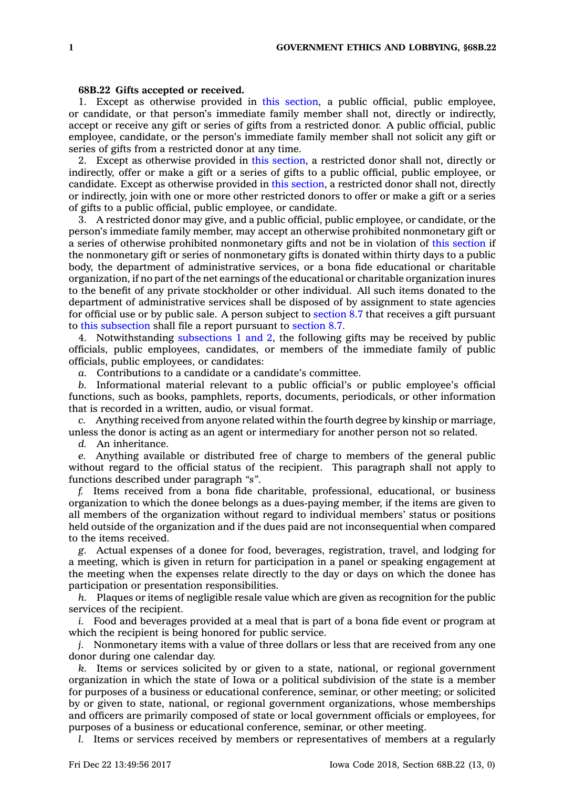## **68B.22 Gifts accepted or received.**

1. Except as otherwise provided in this [section](https://www.legis.iowa.gov/docs/code/68B.22.pdf), <sup>a</sup> public official, public employee, or candidate, or that person's immediate family member shall not, directly or indirectly, accept or receive any gift or series of gifts from <sup>a</sup> restricted donor. A public official, public employee, candidate, or the person's immediate family member shall not solicit any gift or series of gifts from <sup>a</sup> restricted donor at any time.

2. Except as otherwise provided in this [section](https://www.legis.iowa.gov/docs/code/68B.22.pdf), <sup>a</sup> restricted donor shall not, directly or indirectly, offer or make <sup>a</sup> gift or <sup>a</sup> series of gifts to <sup>a</sup> public official, public employee, or candidate. Except as otherwise provided in this [section](https://www.legis.iowa.gov/docs/code/68B.22.pdf), <sup>a</sup> restricted donor shall not, directly or indirectly, join with one or more other restricted donors to offer or make <sup>a</sup> gift or <sup>a</sup> series of gifts to <sup>a</sup> public official, public employee, or candidate.

3. A restricted donor may give, and <sup>a</sup> public official, public employee, or candidate, or the person's immediate family member, may accept an otherwise prohibited nonmonetary gift or <sup>a</sup> series of otherwise prohibited nonmonetary gifts and not be in violation of this [section](https://www.legis.iowa.gov/docs/code/68B.22.pdf) if the nonmonetary gift or series of nonmonetary gifts is donated within thirty days to <sup>a</sup> public body, the department of administrative services, or <sup>a</sup> bona fide educational or charitable organization, if no part of the net earnings of the educational or charitable organization inures to the benefit of any private stockholder or other individual. All such items donated to the department of administrative services shall be disposed of by assignment to state agencies for official use or by public sale. A person subject to [section](https://www.legis.iowa.gov/docs/code/8.7.pdf) 8.7 that receives <sup>a</sup> gift pursuant to this [subsection](https://www.legis.iowa.gov/docs/code/68B.22.pdf) shall file <sup>a</sup> report pursuant to [section](https://www.legis.iowa.gov/docs/code/8.7.pdf) 8.7.

4. Notwithstanding [subsections](https://www.legis.iowa.gov/docs/code/68B.22.pdf) 1 and 2, the following gifts may be received by public officials, public employees, candidates, or members of the immediate family of public officials, public employees, or candidates:

*a.* Contributions to <sup>a</sup> candidate or <sup>a</sup> candidate's committee.

*b.* Informational material relevant to <sup>a</sup> public official's or public employee's official functions, such as books, pamphlets, reports, documents, periodicals, or other information that is recorded in <sup>a</sup> written, audio, or visual format.

*c.* Anything received from anyone related within the fourth degree by kinship or marriage, unless the donor is acting as an agent or intermediary for another person not so related.

*d.* An inheritance.

*e.* Anything available or distributed free of charge to members of the general public without regard to the official status of the recipient. This paragraph shall not apply to functions described under paragraph *"s"*.

*f.* Items received from <sup>a</sup> bona fide charitable, professional, educational, or business organization to which the donee belongs as <sup>a</sup> dues-paying member, if the items are given to all members of the organization without regard to individual members' status or positions held outside of the organization and if the dues paid are not inconsequential when compared to the items received.

*g.* Actual expenses of <sup>a</sup> donee for food, beverages, registration, travel, and lodging for <sup>a</sup> meeting, which is given in return for participation in <sup>a</sup> panel or speaking engagement at the meeting when the expenses relate directly to the day or days on which the donee has participation or presentation responsibilities.

*h.* Plaques or items of negligible resale value which are given as recognition for the public services of the recipient.

*i.* Food and beverages provided at <sup>a</sup> meal that is part of <sup>a</sup> bona fide event or program at which the recipient is being honored for public service.

*j.* Nonmonetary items with <sup>a</sup> value of three dollars or less that are received from any one donor during one calendar day.

*k.* Items or services solicited by or given to <sup>a</sup> state, national, or regional government organization in which the state of Iowa or <sup>a</sup> political subdivision of the state is <sup>a</sup> member for purposes of <sup>a</sup> business or educational conference, seminar, or other meeting; or solicited by or given to state, national, or regional government organizations, whose memberships and officers are primarily composed of state or local government officials or employees, for purposes of <sup>a</sup> business or educational conference, seminar, or other meeting.

*l.* Items or services received by members or representatives of members at <sup>a</sup> regularly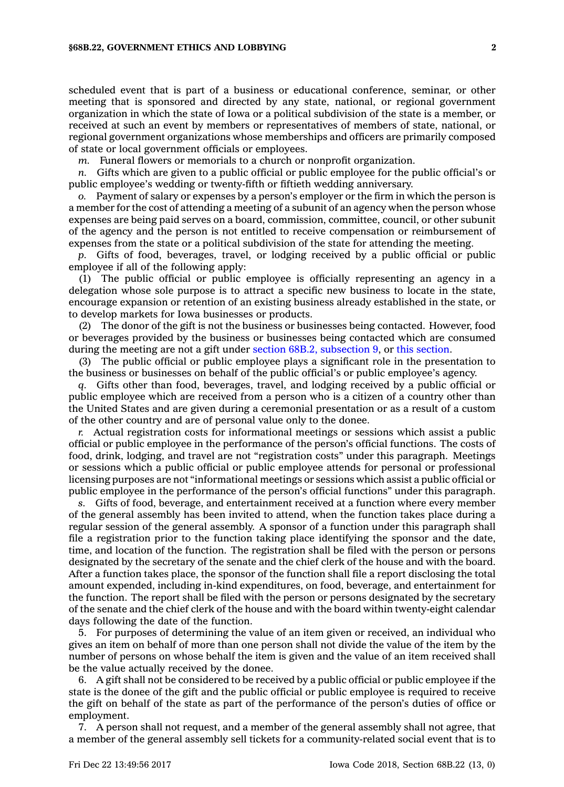scheduled event that is part of <sup>a</sup> business or educational conference, seminar, or other meeting that is sponsored and directed by any state, national, or regional government organization in which the state of Iowa or <sup>a</sup> political subdivision of the state is <sup>a</sup> member, or received at such an event by members or representatives of members of state, national, or regional government organizations whose memberships and officers are primarily composed of state or local government officials or employees.

*m.* Funeral flowers or memorials to <sup>a</sup> church or nonprofit organization.

*n.* Gifts which are given to <sup>a</sup> public official or public employee for the public official's or public employee's wedding or twenty-fifth or fiftieth wedding anniversary.

Payment of salary or expenses by a person's employer or the firm in which the person is <sup>a</sup> member for the cost of attending <sup>a</sup> meeting of <sup>a</sup> subunit of an agency when the person whose expenses are being paid serves on <sup>a</sup> board, commission, committee, council, or other subunit of the agency and the person is not entitled to receive compensation or reimbursement of expenses from the state or <sup>a</sup> political subdivision of the state for attending the meeting.

*p.* Gifts of food, beverages, travel, or lodging received by <sup>a</sup> public official or public employee if all of the following apply:

(1) The public official or public employee is officially representing an agency in <sup>a</sup> delegation whose sole purpose is to attract <sup>a</sup> specific new business to locate in the state, encourage expansion or retention of an existing business already established in the state, or to develop markets for Iowa businesses or products.

(2) The donor of the gift is not the business or businesses being contacted. However, food or beverages provided by the business or businesses being contacted which are consumed during the meeting are not <sup>a</sup> gift under section 68B.2, [subsection](https://www.legis.iowa.gov/docs/code/68B.2.pdf) 9, or this [section](https://www.legis.iowa.gov/docs/code/68B.22.pdf).

(3) The public official or public employee plays <sup>a</sup> significant role in the presentation to the business or businesses on behalf of the public official's or public employee's agency.

*q.* Gifts other than food, beverages, travel, and lodging received by <sup>a</sup> public official or public employee which are received from <sup>a</sup> person who is <sup>a</sup> citizen of <sup>a</sup> country other than the United States and are given during <sup>a</sup> ceremonial presentation or as <sup>a</sup> result of <sup>a</sup> custom of the other country and are of personal value only to the donee.

*r.* Actual registration costs for informational meetings or sessions which assist <sup>a</sup> public official or public employee in the performance of the person's official functions. The costs of food, drink, lodging, and travel are not "registration costs" under this paragraph. Meetings or sessions which <sup>a</sup> public official or public employee attends for personal or professional licensing purposes are not "informational meetings or sessions which assist <sup>a</sup> public official or public employee in the performance of the person's official functions" under this paragraph.

*s.* Gifts of food, beverage, and entertainment received at <sup>a</sup> function where every member of the general assembly has been invited to attend, when the function takes place during <sup>a</sup> regular session of the general assembly. A sponsor of <sup>a</sup> function under this paragraph shall file <sup>a</sup> registration prior to the function taking place identifying the sponsor and the date, time, and location of the function. The registration shall be filed with the person or persons designated by the secretary of the senate and the chief clerk of the house and with the board. After <sup>a</sup> function takes place, the sponsor of the function shall file <sup>a</sup> report disclosing the total amount expended, including in-kind expenditures, on food, beverage, and entertainment for the function. The report shall be filed with the person or persons designated by the secretary of the senate and the chief clerk of the house and with the board within twenty-eight calendar days following the date of the function.

5. For purposes of determining the value of an item given or received, an individual who gives an item on behalf of more than one person shall not divide the value of the item by the number of persons on whose behalf the item is given and the value of an item received shall be the value actually received by the donee.

6. A gift shall not be considered to be received by <sup>a</sup> public official or public employee if the state is the donee of the gift and the public official or public employee is required to receive the gift on behalf of the state as part of the performance of the person's duties of office or employment.

7. A person shall not request, and <sup>a</sup> member of the general assembly shall not agree, that <sup>a</sup> member of the general assembly sell tickets for <sup>a</sup> community-related social event that is to